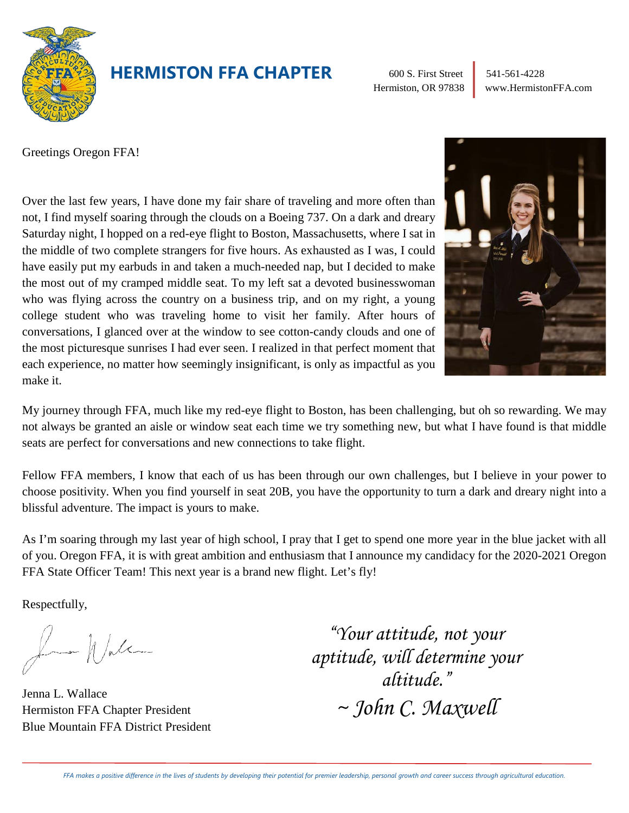

### **HERMISTON FFA CHAPTER**

600 S. First Street 541-561-4228

Hermiston, OR 97838 www.HermistonFFA.com

Greetings Oregon FFA!

Over the last few years, I have done my fair share of traveling and more often than not, I find myself soaring through the clouds on a Boeing 737. On a dark and dreary Saturday night, I hopped on a red-eye flight to Boston, Massachusetts, where I sat in the middle of two complete strangers for five hours. As exhausted as I was, I could have easily put my earbuds in and taken a much-needed nap, but I decided to make the most out of my cramped middle seat. To my left sat a devoted businesswoman who was flying across the country on a business trip, and on my right, a young college student who was traveling home to visit her family. After hours of conversations, I glanced over at the window to see cotton-candy clouds and one of the most picturesque sunrises I had ever seen. I realized in that perfect moment that each experience, no matter how seemingly insignificant, is only as impactful as you make it.



My journey through FFA, much like my red-eye flight to Boston, has been challenging, but oh so rewarding. We may not always be granted an aisle or window seat each time we try something new, but what I have found is that middle seats are perfect for conversations and new connections to take flight.

Fellow FFA members, I know that each of us has been through our own challenges, but I believe in your power to choose positivity. When you find yourself in seat 20B, you have the opportunity to turn a dark and dreary night into a blissful adventure. The impact is yours to make.

As I'm soaring through my last year of high school, I pray that I get to spend one more year in the blue jacket with all of you. Oregon FFA, it is with great ambition and enthusiasm that I announce my candidacy for the 2020-2021 Oregon FFA State Officer Team! This next year is a brand new flight. Let's fly!

Respectfully,

Known Walter

Jenna L. Wallace Hermiston FFA Chapter President Blue Mountain FFA District President

*"Your attitude, not your aptitude, will determine your altitude." ~ John C. Maxwell*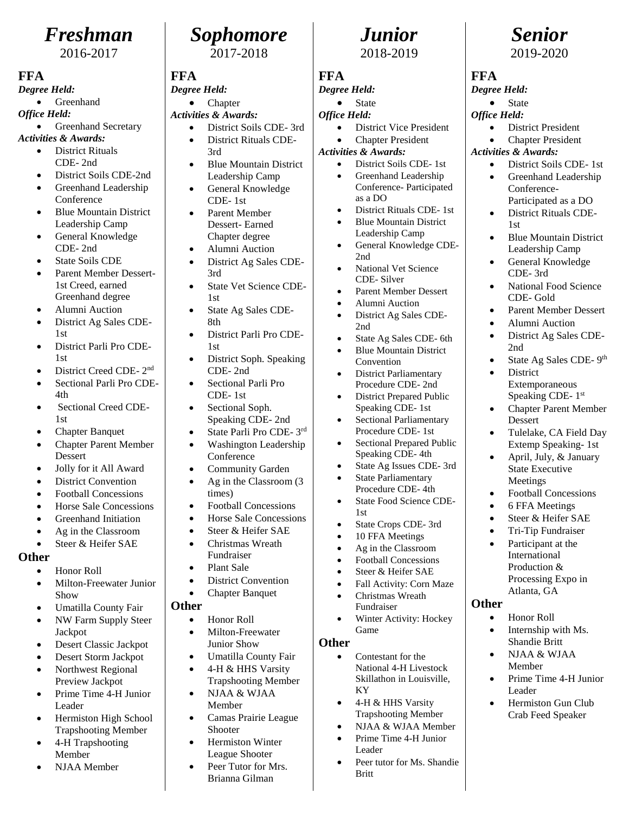## *Freshman*

2016-2017

#### **FFA**

*Degree Held:*

**Greenhand** 

*Office Held:*

- Greenhand Secretary *Activities & Awards:*
	- District Rituals CDE- 2nd
	- District Soils CDE-2nd
	- Greenhand Leadership **Conference**
	- **Blue Mountain District** Leadership Camp
	- General Knowledge CDE- 2nd
	- State Soils CDE
	- Parent Member Dessert-1st Creed, earned Greenhand degree
	- Alumni Auction
	- District Ag Sales CDE-1st
	- District Parli Pro CDE-1st
	- District Creed CDE- 2nd
	- Sectional Parli Pro CDE-4th
	- Sectional Creed CDE-1st
	- Chapter Banquet
	- Chapter Parent Member Dessert
	- Jolly for it All Award
	- District Convention
	- Football Concessions
	- Horse Sale Concessions
	- Greenhand Initiation
	- Ag in the Classroom
	- Steer & Heifer SAE

#### **Other**

- Honor Roll
- Milton-Freewater Junior Show
- Umatilla County Fair
- NW Farm Supply Steer Jackpot
- Desert Classic Jackpot
- Desert Storm Jackpot
- Northwest Regional Preview Jackpot
- Prime Time 4-H Junior Leader
- Hermiston High School Trapshooting Member
- 4-H Trapshooting Member
- NJAA Member



#### **FFA**

#### *Degree Held:*

- Chapter *Activities & Awards:*
	- District Soils CDE- 3rd
		- District Rituals CDE-3rd
	- Blue Mountain District Leadership Camp
	- General Knowledge CDE- 1st
	- Parent Member Dessert- Earned Chapter degree
	- Alumni Auction
	- District Ag Sales CDE-3rd
	- State Vet Science CDE-1st
	- State Ag Sales CDE-8th
	- District Parli Pro CDE-1st
	- District Soph. Speaking CDE- 2nd
	- Sectional Parli Pro CDE- 1st
	- Sectional Soph. Speaking CDE- 2nd
	- State Parli Pro CDE- 3rd
	- Washington Leadership Conference
	- Community Garden
	- Ag in the Classroom (3) times)
	- Football Concessions
	- Horse Sale Concessions
	- Steer & Heifer SAE
	- Christmas Wreath Fundraiser
	- Plant Sale
	- District Convention
	- Chapter Banquet
- **Other**
	- Honor Roll
	- Milton-Freewater Junior Show
	- Umatilla County Fair
	- 4-H & HHS Varsity Trapshooting Member
	- NJAA & WJAA Member
	- Camas Prairie League Shooter
	- Hermiston Winter League Shooter
	- Peer Tutor for Mrs. Brianna Gilman

# *Junior*

*Senior* 2019-2020

**State** 

*Activities & Awards:*

1st

2nd

**District** 

Dessert

**Other**

• Honor Roll • Internship with Ms. Shandie Britt • NJAA & WJAA Member

Leader

• Prime Time 4-H Junior

• Hermiston Gun Club Crab Feed Speaker

• District President Chapter President

• District Soils CDE- 1st • Greenhand Leadership Conference-

Participated as a DO • District Rituals CDE-

• Blue Mountain District Leadership Camp • General Knowledge CDE- 3rd

• National Food Science CDE- Gold

• Parent Member Dessert • Alumni Auction • District Ag Sales CDE-

Extemporaneous Speaking CDE- 1st • Chapter Parent Member

• Tulelake, CA Field Day Extemp Speaking- 1st • April, July, & January State Executive Meetings • Football Concessions • 6 FFA Meetings • Steer & Heifer SAE • Tri-Tip Fundraiser Participant at the International Production & Processing Expo in Atlanta, GA

• State Ag Sales CDE- 9th

**FFA** *Degree Held:*

*Office Held:*

2018-2019

#### **FFA**

#### *Degree Held:*

- **State**
- *Office Held:*
	- District Vice President
- Chapter President *Activities & Awards:*
	- District Soils CDE- 1st
		- Greenhand Leadership Conference- Participated as a DO
		- District Rituals CDE- 1st
		- **Blue Mountain District**
		- Leadership Camp • General Knowledge CDE-2nd
		- National Vet Science CDE- Silver
		- Parent Member Dessert
		- Alumni Auction
		- District Ag Sales CDE-2nd
		- State Ag Sales CDE- 6th
		- **Blue Mountain District** Convention
		- **District Parliamentary** Procedure CDE- 2nd
		- District Prepared Public Speaking CDE- 1st
		- Sectional Parliamentary Procedure CDE- 1st

• State Crops CDE- 3rd 10 FFA Meetings • Ag in the Classroom • Football Concessions Steer & Heifer SAE • Fall Activity: Corn Maze • Christmas Wreath Fundraiser

• Winter Activity: Hockey

National 4-H Livestock Skillathon in Louisville,

Peer tutor for Ms. Shandie

• 4-H & HHS Varsity Trapshooting Member • NJAA & WJAA Member • Prime Time 4-H Junior

1st

Game

KY

Leader

Britt

• Contestant for the

**Other**

• Sectional Prepared Public Speaking CDE- 4th • State Ag Issues CDE- 3rd **State Parliamentary** Procedure CDE- 4th State Food Science CDE-